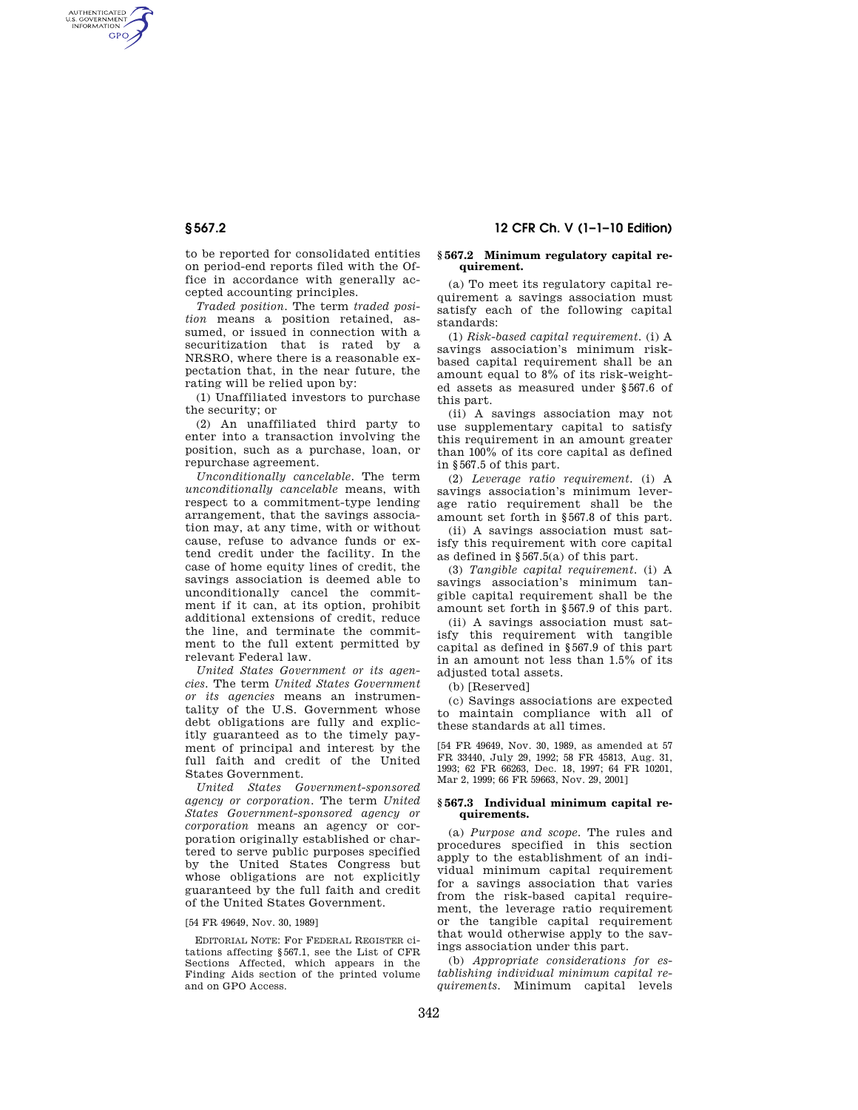AUTHENTICATED<br>U.S. GOVERNMENT<br>INFORMATION **GPO** 

> to be reported for consolidated entities on period-end reports filed with the Office in accordance with generally accepted accounting principles.

> *Traded position.* The term *traded position* means a position retained, assumed, or issued in connection with a securitization that is rated by a NRSRO, where there is a reasonable expectation that, in the near future, the rating will be relied upon by:

> (1) Unaffiliated investors to purchase the security; or

> (2) An unaffiliated third party to enter into a transaction involving the position, such as a purchase, loan, or repurchase agreement.

> *Unconditionally cancelable.* The term *unconditionally cancelable* means, with respect to a commitment-type lending arrangement, that the savings association may, at any time, with or without cause, refuse to advance funds or extend credit under the facility. In the case of home equity lines of credit, the savings association is deemed able to unconditionally cancel the commitment if it can, at its option, prohibit additional extensions of credit, reduce the line, and terminate the commitment to the full extent permitted by relevant Federal law.

> *United States Government or its agencies.* The term *United States Government or its agencies* means an instrumentality of the U.S. Government whose debt obligations are fully and explicitly guaranteed as to the timely payment of principal and interest by the full faith and credit of the United States Government.

> *United States Government-sponsored agency or corporation.* The term *United States Government-sponsored agency or corporation* means an agency or corporation originally established or chartered to serve public purposes specified by the United States Congress but whose obligations are not explicitly guaranteed by the full faith and credit of the United States Government.

## [54 FR 49649, Nov. 30, 1989]

EDITORIAL NOTE: For FEDERAL REGISTER citations affecting §567.1, see the List of CFR Sections Affected, which appears in the Finding Aids section of the printed volume and on GPO Access.

# **§ 567.2 12 CFR Ch. V (1–1–10 Edition)**

#### **§ 567.2 Minimum regulatory capital requirement.**

(a) To meet its regulatory capital requirement a savings association must satisfy each of the following capital standards:

(1) *Risk-based capital requirement.* (i) A savings association's minimum riskbased capital requirement shall be an amount equal to 8% of its risk-weighted assets as measured under §567.6 of this part.

(ii) A savings association may not use supplementary capital to satisfy this requirement in an amount greater than 100% of its core capital as defined in §567.5 of this part.

(2) *Leverage ratio requirement.* (i) A savings association's minimum leverage ratio requirement shall be the amount set forth in §567.8 of this part.

(ii) A savings association must satisfy this requirement with core capital as defined in §567.5(a) of this part.

(3) *Tangible capital requirement.* (i) A savings association's minimum tangible capital requirement shall be the amount set forth in §567.9 of this part.

(ii) A savings association must satisfy this requirement with tangible capital as defined in §567.9 of this part in an amount not less than 1.5% of its adjusted total assets.

(b) [Reserved]

(c) Savings associations are expected to maintain compliance with all of these standards at all times.

[54 FR 49649, Nov. 30, 1989, as amended at 57 FR 33440, July 29, 1992; 58 FR 45813, Aug. 31, 1993; 62 FR 66263, Dec. 18, 1997; 64 FR 10201, Mar 2, 1999; 66 FR 59663, Nov. 29, 2001]

### **§ 567.3 Individual minimum capital requirements.**

(a) *Purpose and scope.* The rules and procedures specified in this section apply to the establishment of an individual minimum capital requirement for a savings association that varies from the risk-based capital requirement, the leverage ratio requirement or the tangible capital requirement that would otherwise apply to the savings association under this part.

(b) *Appropriate considerations for establishing individual minimum capital requirements.* Minimum capital levels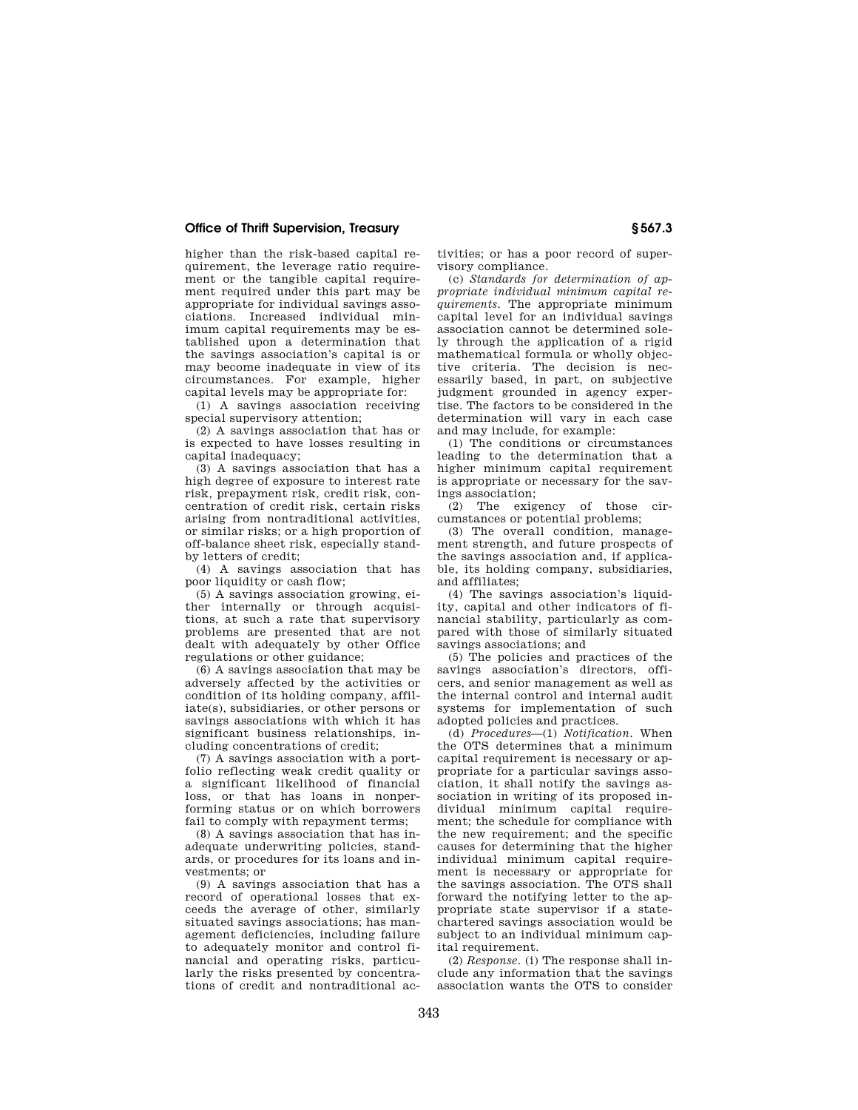## **Office of Thrift Supervision, Treasury § 567.3**

higher than the risk-based capital requirement, the leverage ratio requirement or the tangible capital requirement required under this part may be appropriate for individual savings associations. Increased individual minimum capital requirements may be established upon a determination that the savings association's capital is or may become inadequate in view of its circumstances. For example, higher capital levels may be appropriate for:

(1) A savings association receiving special supervisory attention;

(2) A savings association that has or is expected to have losses resulting in capital inadequacy;

(3) A savings association that has a high degree of exposure to interest rate risk, prepayment risk, credit risk, concentration of credit risk, certain risks arising from nontraditional activities, or similar risks; or a high proportion of off-balance sheet risk, especially standby letters of credit;

(4) A savings association that has poor liquidity or cash flow;

(5) A savings association growing, either internally or through acquisitions, at such a rate that supervisory problems are presented that are not dealt with adequately by other Office regulations or other guidance;

(6) A savings association that may be adversely affected by the activities or condition of its holding company, affiliate(s), subsidiaries, or other persons or savings associations with which it has significant business relationships, including concentrations of credit;

(7) A savings association with a portfolio reflecting weak credit quality or a significant likelihood of financial loss, or that has loans in nonperforming status or on which borrowers fail to comply with repayment terms;

(8) A savings association that has inadequate underwriting policies, standards, or procedures for its loans and investments; or

(9) A savings association that has a record of operational losses that exceeds the average of other, similarly situated savings associations; has management deficiencies, including failure to adequately monitor and control financial and operating risks, particularly the risks presented by concentrations of credit and nontraditional activities; or has a poor record of supervisory compliance.

(c) *Standards for determination of appropriate individual minimum capital requirements.* The appropriate minimum capital level for an individual savings association cannot be determined solely through the application of a rigid mathematical formula or wholly objective criteria. The decision is necessarily based, in part, on subjective judgment grounded in agency expertise. The factors to be considered in the determination will vary in each case and may include, for example:

(1) The conditions or circumstances leading to the determination that a higher minimum capital requirement is appropriate or necessary for the savings association;

(2) The exigency of those circumstances or potential problems;

(3) The overall condition, management strength, and future prospects of the savings association and, if applicable, its holding company, subsidiaries, and affiliates;

(4) The savings association's liquidity, capital and other indicators of financial stability, particularly as compared with those of similarly situated savings associations; and

(5) The policies and practices of the savings association's directors, officers, and senior management as well as the internal control and internal audit systems for implementation of such adopted policies and practices.

(d) *Procedures*—(1) *Notification.* When the OTS determines that a minimum capital requirement is necessary or appropriate for a particular savings association, it shall notify the savings association in writing of its proposed individual minimum capital requirement; the schedule for compliance with the new requirement; and the specific causes for determining that the higher individual minimum capital requirement is necessary or appropriate for the savings association. The OTS shall forward the notifying letter to the appropriate state supervisor if a statechartered savings association would be subject to an individual minimum capital requirement.

(2) *Response.* (i) The response shall include any information that the savings association wants the OTS to consider